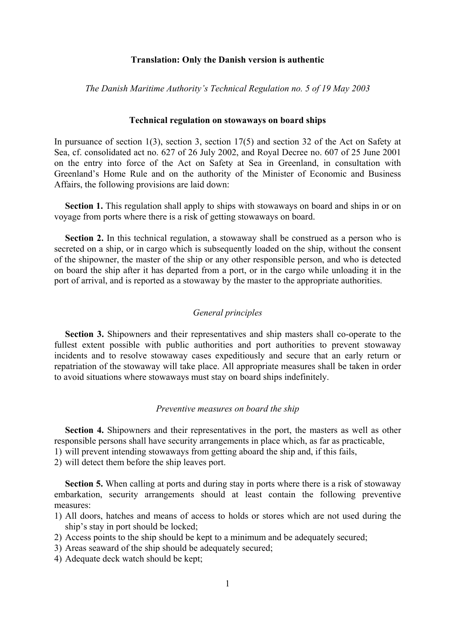#### **Translation: Only the Danish version is authentic**

*The Danish Maritime Authority's Technical Regulation no. 5 of 19 May 2003* 

#### **Technical regulation on stowaways on board ships**

In pursuance of section 1(3), section 3, section 17(5) and section 32 of the Act on Safety at Sea, cf. consolidated act no. 627 of 26 July 2002, and Royal Decree no. 607 of 25 June 2001 on the entry into force of the Act on Safety at Sea in Greenland, in consultation with Greenland's Home Rule and on the authority of the Minister of Economic and Business Affairs, the following provisions are laid down:

**Section 1.** This regulation shall apply to ships with stowaways on board and ships in or on voyage from ports where there is a risk of getting stowaways on board.

**Section 2.** In this technical regulation, a stowaway shall be construed as a person who is secreted on a ship, or in cargo which is subsequently loaded on the ship, without the consent of the shipowner, the master of the ship or any other responsible person, and who is detected on board the ship after it has departed from a port, or in the cargo while unloading it in the port of arrival, and is reported as a stowaway by the master to the appropriate authorities.

#### *General principles*

 **Section 3.** Shipowners and their representatives and ship masters shall co-operate to the fullest extent possible with public authorities and port authorities to prevent stowaway incidents and to resolve stowaway cases expeditiously and secure that an early return or repatriation of the stowaway will take place. All appropriate measures shall be taken in order to avoid situations where stowaways must stay on board ships indefinitely.

#### *Preventive measures on board the ship*

**Section 4.** Shipowners and their representatives in the port, the masters as well as other responsible persons shall have security arrangements in place which, as far as practicable, 1) will prevent intending stowaways from getting aboard the ship and, if this fails,

- 
- 2) will detect them before the ship leaves port.

**Section 5.** When calling at ports and during stay in ports where there is a risk of stowaway embarkation, security arrangements should at least contain the following preventive measures:

- 1) All doors, hatches and means of access to holds or stores which are not used during the ship's stay in port should be locked;
- 2) Access points to the ship should be kept to a minimum and be adequately secured;
- 3) Areas seaward of the ship should be adequately secured;
- 4) Adequate deck watch should be kept;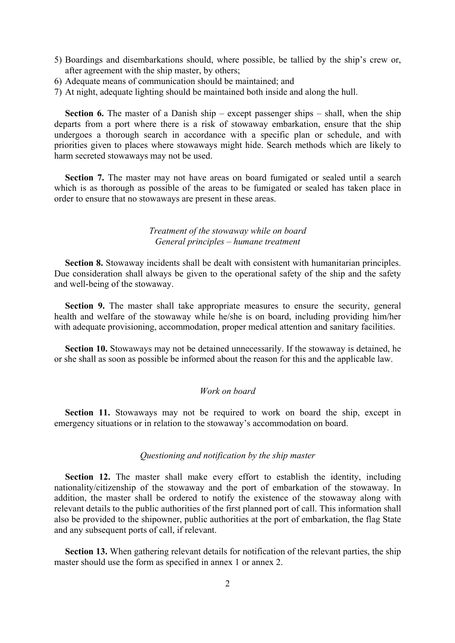- 5) Boardings and disembarkations should, where possible, be tallied by the ship's crew or, after agreement with the ship master, by others;
- 6) Adequate means of communication should be maintained; and
- 7) At night, adequate lighting should be maintained both inside and along the hull.

**Section 6.** The master of a Danish ship – except passenger ships – shall, when the ship departs from a port where there is a risk of stowaway embarkation, ensure that the ship undergoes a thorough search in accordance with a specific plan or schedule, and with priorities given to places where stowaways might hide. Search methods which are likely to harm secreted stowaways may not be used.

**Section 7.** The master may not have areas on board fumigated or sealed until a search which is as thorough as possible of the areas to be fumigated or sealed has taken place in order to ensure that no stowaways are present in these areas.

# *Treatment of the stowaway while on board General principles – humane treatment*

**Section 8.** Stowaway incidents shall be dealt with consistent with humanitarian principles. Due consideration shall always be given to the operational safety of the ship and the safety and well-being of the stowaway.

**Section 9.** The master shall take appropriate measures to ensure the security, general health and welfare of the stowaway while he/she is on board, including providing him/her with adequate provisioning, accommodation, proper medical attention and sanitary facilities.

**Section 10.** Stowaways may not be detained unnecessarily. If the stowaway is detained, he or she shall as soon as possible be informed about the reason for this and the applicable law.

# *Work on board*

**Section 11.** Stowaways may not be required to work on board the ship, except in emergency situations or in relation to the stowaway's accommodation on board.

#### *Questioning and notification by the ship master*

**Section 12.** The master shall make every effort to establish the identity, including nationality/citizenship of the stowaway and the port of embarkation of the stowaway. In addition, the master shall be ordered to notify the existence of the stowaway along with relevant details to the public authorities of the first planned port of call. This information shall also be provided to the shipowner, public authorities at the port of embarkation, the flag State and any subsequent ports of call, if relevant.

**Section 13.** When gathering relevant details for notification of the relevant parties, the ship master should use the form as specified in annex 1 or annex 2.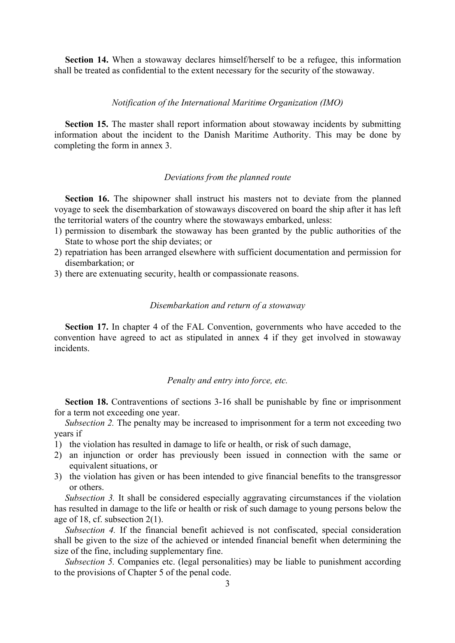**Section 14.** When a stowaway declares himself/herself to be a refugee, this information shall be treated as confidential to the extent necessary for the security of the stowaway.

#### *Notification of the International Maritime Organization (IMO)*

**Section 15.** The master shall report information about stowaway incidents by submitting information about the incident to the Danish Maritime Authority. This may be done by completing the form in annex 3.

#### *Deviations from the planned route*

**Section 16.** The shipowner shall instruct his masters not to deviate from the planned voyage to seek the disembarkation of stowaways discovered on board the ship after it has left the territorial waters of the country where the stowaways embarked, unless:

- 1) permission to disembark the stowaway has been granted by the public authorities of the State to whose port the ship deviates; or
- 2) repatriation has been arranged elsewhere with sufficient documentation and permission for disembarkation; or
- 3) there are extenuating security, health or compassionate reasons.

#### *Disembarkation and return of a stowaway*

**Section 17.** In chapter 4 of the FAL Convention, governments who have acceded to the convention have agreed to act as stipulated in annex 4 if they get involved in stowaway incidents.

# *Penalty and entry into force, etc.*

**Section 18.** Contraventions of sections 3-16 shall be punishable by fine or imprisonment for a term not exceeding one year.

*Subsection 2.* The penalty may be increased to imprisonment for a term not exceeding two years if

- 1) the violation has resulted in damage to life or health, or risk of such damage,
- 2) an injunction or order has previously been issued in connection with the same or equivalent situations, or
- 3) the violation has given or has been intended to give financial benefits to the transgressor or others.

*Subsection 3.* It shall be considered especially aggravating circumstances if the violation has resulted in damage to the life or health or risk of such damage to young persons below the age of 18, cf. subsection 2(1).

*Subsection 4.* If the financial benefit achieved is not confiscated, special consideration shall be given to the size of the achieved or intended financial benefit when determining the size of the fine, including supplementary fine.

*Subsection 5.* Companies etc. (legal personalities) may be liable to punishment according to the provisions of Chapter 5 of the penal code.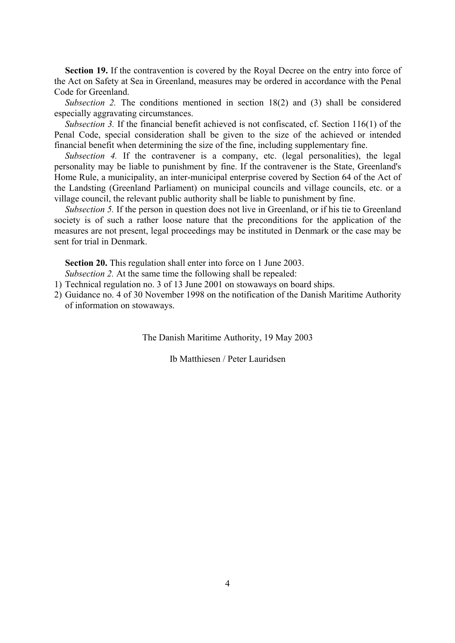Section 19. If the contravention is covered by the Royal Decree on the entry into force of the Act on Safety at Sea in Greenland, measures may be ordered in accordance with the Penal Code for Greenland.

*Subsection 2.* The conditions mentioned in section 18(2) and (3) shall be considered especially aggravating circumstances.

*Subsection 3.* If the financial benefit achieved is not confiscated, cf. Section 116(1) of the Penal Code, special consideration shall be given to the size of the achieved or intended financial benefit when determining the size of the fine, including supplementary fine.

*Subsection 4.* If the contravener is a company, etc. (legal personalities), the legal personality may be liable to punishment by fine. If the contravener is the State, Greenland's Home Rule, a municipality, an inter-municipal enterprise covered by Section 64 of the Act of the Landsting (Greenland Parliament) on municipal councils and village councils, etc. or a village council, the relevant public authority shall be liable to punishment by fine.

*Subsection 5.* If the person in question does not live in Greenland, or if his tie to Greenland society is of such a rather loose nature that the preconditions for the application of the measures are not present, legal proceedings may be instituted in Denmark or the case may be sent for trial in Denmark.

**Section 20.** This regulation shall enter into force on 1 June 2003.

*Subsection 2.* At the same time the following shall be repealed:

- 1) Technical regulation no. 3 of 13 June 2001 on stowaways on board ships.
- 2) Guidance no. 4 of 30 November 1998 on the notification of the Danish Maritime Authority of information on stowaways.

The Danish Maritime Authority, 19 May 2003

Ib Matthiesen / Peter Lauridsen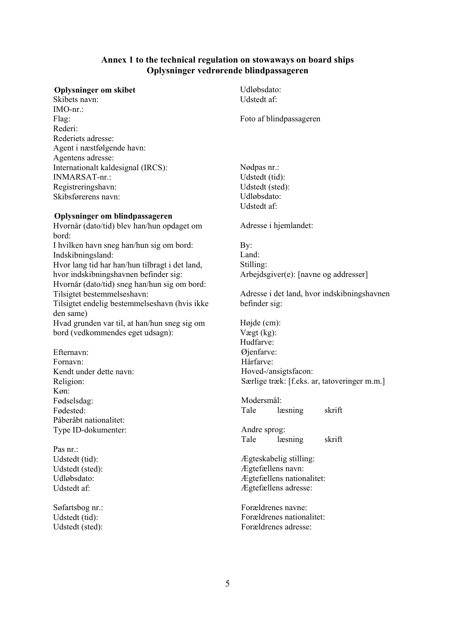#### **Annex 1 to the technical regulation on stowaways on board ships Oplysninger vedrørende blindpassageren**

#### **Oplysninger om skibet**

Skibets navn: IMO-nr.: Flag: Rederi: Rederiets adresse: Agent i næstfølgende havn: Agentens adresse: Internationalt kaldesignal (IRCS): INMARSAT-nr.: Registreringshavn: Skibsførerens navn:

#### **Oplysninger om blindpassageren**

Hvornår (dato/tid) blev han/hun opdaget om bord: I hvilken havn sneg han/hun sig om bord: Indskibningsland: Hvor lang tid har han/hun tilbragt i det land, hvor indskibningshavnen befinder sig: Hvornår (dato/tid) sneg han/hun sig om bord: Tilsigtet bestemmelseshavn: Tilsigtet endelig bestemmelseshavn (hvis ikke den same) Hvad grunden var til, at han/hun sneg sig om bord (vedkommendes eget udsagn):

Efternavn: Fornavn: Kendt under dette navn: Religion: Køn: Fødselsdag: Fødested: Påberåbt nationalitet: Type ID-dokumenter:

Pas nr.: Udstedt (tid): Udstedt (sted): Udløbsdato: Udstedt af:

Søfartsbog nr.: Udstedt (tid): Udstedt (sted):

Udløbsdato: Udstedt af:

Foto af blindpassageren

Nødpas nr.: Udstedt (tid): Udstedt (sted): Udløbsdato: Udstedt af:

Adresse i hjemlandet:

By: Land: Stilling: Arbejdsgiver(e): [navne og addresser]

Adresse i det land, hvor indskibningshavnen befinder sig:

Højde (cm): Vægt (kg): Hudfarve: Øjenfarve<sup>.</sup> Hårfarve: Hoved-/ansigtsfacon: Særlige træk: [f.eks. ar, tatoveringer m.m.]

Modersmål: Tale læsning skrift

Andre sprog: Tale læsning skrift

Ægteskabelig stilling: Ægtefællens navn: Ægtefællens nationalitet: Ægtefællens adresse:

Forældrenes navne: Forældrenes nationalitet: Forældrenes adresse: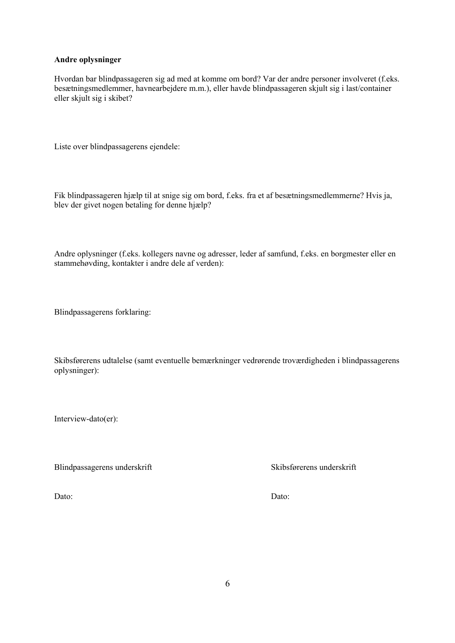#### **Andre oplysninger**

Hvordan bar blindpassageren sig ad med at komme om bord? Var der andre personer involveret (f.eks. besætningsmedlemmer, havnearbejdere m.m.), eller havde blindpassageren skjult sig i last/container eller skjult sig i skibet?

Liste over blindpassagerens ejendele:

Fik blindpassageren hjælp til at snige sig om bord, f.eks. fra et af besætningsmedlemmerne? Hvis ja, blev der givet nogen betaling for denne hjælp?

Andre oplysninger (f.eks. kollegers navne og adresser, leder af samfund, f.eks. en borgmester eller en stammehøvding, kontakter i andre dele af verden):

Blindpassagerens forklaring:

Skibsførerens udtalelse (samt eventuelle bemærkninger vedrørende troværdigheden i blindpassagerens oplysninger):

Interview-dato(er):

Blindpassagerens underskrift Skibsførerens underskrift

Dato: Dato: Dato: Dato: Dato: Dato: Dato: Dato: Dato: Dato: Dato: Dato: Dato: Dato: Dato: Dato: Dato: Dato: Dato: Dato: Dato: Dato: Dato: Dato: Dato: Dato: Dato: Dato: Dato: Dato: Dato: Dato: Dato: Dato: Dato: Dato: Dato: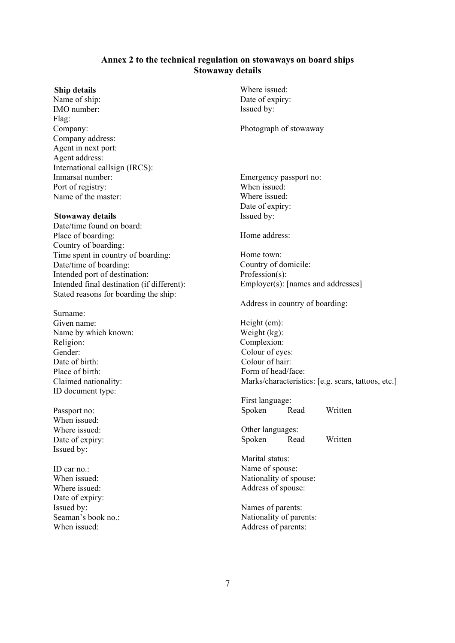#### **Annex 2 to the technical regulation on stowaways on board ships Stowaway details**

#### **Ship details**

Name of ship: IMO number: Flag: Company: Company address: Agent in next port: Agent address: International callsign (IRCS): Inmarsat number: Port of registry: Name of the master:

#### **Stowaway details**

Date/time found on board: Place of boarding: Country of boarding: Time spent in country of boarding: Date/time of boarding: Intended port of destination: Intended final destination (if different): Stated reasons for boarding the ship:

Surname: Given name: Name by which known: Religion: Gender: Date of birth: Place of birth: Claimed nationality: ID document type:

Passport no: When issued: Where issued: Date of expiry: Issued by:

ID car no.: When issued: Where issued: Date of expiry: Issued by: Seaman's book no  $\cdot$ When issued:

Where issued: Date of expiry: Issued by:

Photograph of stowaway

Emergency passport no: When issued: Where issued: Date of expiry: Issued by:

Home address:

Home town: Country of domicile: Profession(s): Employer(s): [names and addresses]

Address in country of boarding:

Height (cm): Weight (kg): Complexion: Colour of eyes: Colour of hair: Form of head/face: Marks/characteristics: [e.g. scars, tattoos, etc.]

First language: Spoken Read Written

Other languages: Spoken Read Written

Marital status: Name of spouse: Nationality of spouse: Address of spouse:

Names of parents: Nationality of parents: Address of parents: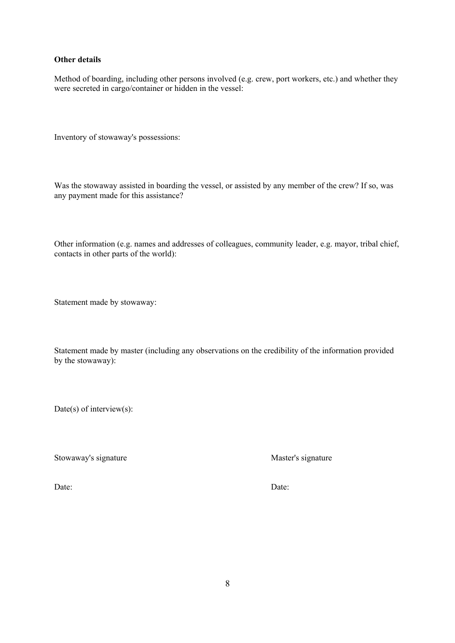#### **Other details**

Method of boarding, including other persons involved (e.g. crew, port workers, etc.) and whether they were secreted in cargo/container or hidden in the vessel:

Inventory of stowaway's possessions:

Was the stowaway assisted in boarding the vessel, or assisted by any member of the crew? If so, was any payment made for this assistance?

Other information (e.g. names and addresses of colleagues, community leader, e.g. mayor, tribal chief, contacts in other parts of the world):

Statement made by stowaway:

Statement made by master (including any observations on the credibility of the information provided by the stowaway):

Date(s) of interview(s):

Stowaway's signature Master's signature

Date: Date: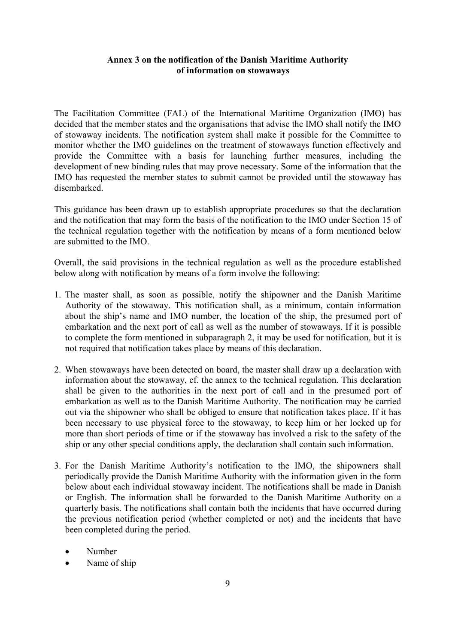# **Annex 3 on the notification of the Danish Maritime Authority of information on stowaways**

The Facilitation Committee (FAL) of the International Maritime Organization (IMO) has decided that the member states and the organisations that advise the IMO shall notify the IMO of stowaway incidents. The notification system shall make it possible for the Committee to monitor whether the IMO guidelines on the treatment of stowaways function effectively and provide the Committee with a basis for launching further measures, including the development of new binding rules that may prove necessary. Some of the information that the IMO has requested the member states to submit cannot be provided until the stowaway has disembarked.

This guidance has been drawn up to establish appropriate procedures so that the declaration and the notification that may form the basis of the notification to the IMO under Section 15 of the technical regulation together with the notification by means of a form mentioned below are submitted to the IMO.

Overall, the said provisions in the technical regulation as well as the procedure established below along with notification by means of a form involve the following:

- 1. The master shall, as soon as possible, notify the shipowner and the Danish Maritime Authority of the stowaway. This notification shall, as a minimum, contain information about the ship's name and IMO number, the location of the ship, the presumed port of embarkation and the next port of call as well as the number of stowaways. If it is possible to complete the form mentioned in subparagraph 2, it may be used for notification, but it is not required that notification takes place by means of this declaration.
- 2. When stowaways have been detected on board, the master shall draw up a declaration with information about the stowaway, cf. the annex to the technical regulation. This declaration shall be given to the authorities in the next port of call and in the presumed port of embarkation as well as to the Danish Maritime Authority. The notification may be carried out via the shipowner who shall be obliged to ensure that notification takes place. If it has been necessary to use physical force to the stowaway, to keep him or her locked up for more than short periods of time or if the stowaway has involved a risk to the safety of the ship or any other special conditions apply, the declaration shall contain such information.
- 3. For the Danish Maritime Authority's notification to the IMO, the shipowners shall periodically provide the Danish Maritime Authority with the information given in the form below about each individual stowaway incident. The notifications shall be made in Danish or English. The information shall be forwarded to the Danish Maritime Authority on a quarterly basis. The notifications shall contain both the incidents that have occurred during the previous notification period (whether completed or not) and the incidents that have been completed during the period.
	- Number
	- Name of ship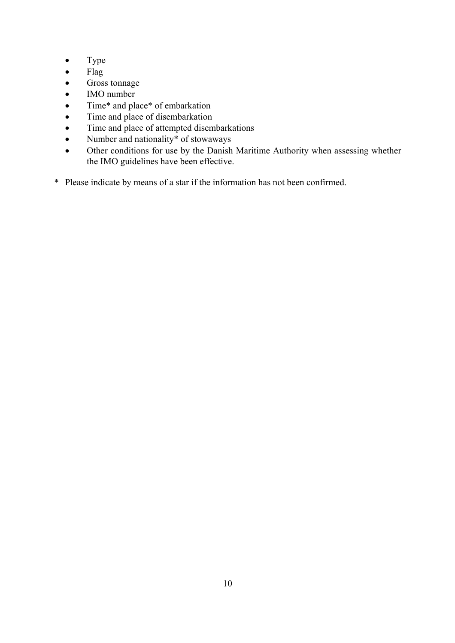- Type
- Flag
- Gross tonnage
- IMO number
- Time\* and place\* of embarkation
- Time and place of disembarkation
- Time and place of attempted disembarkations
- Number and nationality<sup>\*</sup> of stowaways
- Other conditions for use by the Danish Maritime Authority when assessing whether the IMO guidelines have been effective.
- \* Please indicate by means of a star if the information has not been confirmed.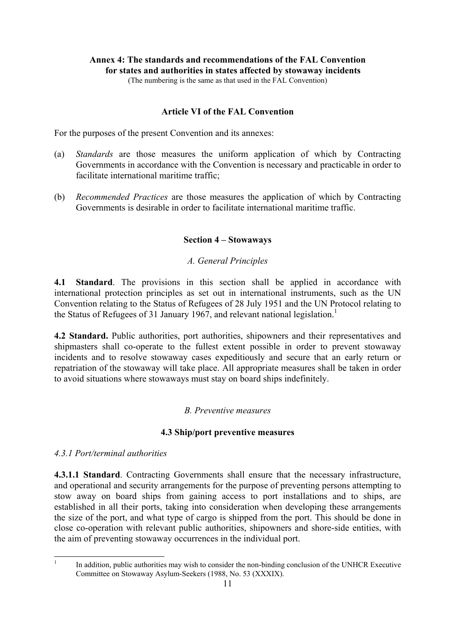# **Annex 4: The standards and recommendations of the FAL Convention for states and authorities in states affected by stowaway incidents**

(The numbering is the same as that used in the FAL Convention)

# **Article VI of the FAL Convention**

For the purposes of the present Convention and its annexes:

- (a) *Standards* are those measures the uniform application of which by Contracting Governments in accordance with the Convention is necessary and practicable in order to facilitate international maritime traffic;
- (b) *Recommended Practices* are those measures the application of which by Contracting Governments is desirable in order to facilitate international maritime traffic.

# **Section 4 – Stowaways**

# *A. General Principles*

**4.1 Standard**. The provisions in this section shall be applied in accordance with international protection principles as set out in international instruments, such as the UN Convention relating to the Status of Refugees of 28 July 1951 and the UN Protocol relating to the Status of Refugees of 31 January 1967, and relevant national legislation.<sup>1</sup>

**4.2 Standard.** Public authorities, port authorities, shipowners and their representatives and shipmasters shall co-operate to the fullest extent possible in order to prevent stowaway incidents and to resolve stowaway cases expeditiously and secure that an early return or repatriation of the stowaway will take place. All appropriate measures shall be taken in order to avoid situations where stowaways must stay on board ships indefinitely.

# *B. Preventive measures*

# **4.3 Ship/port preventive measures**

*4.3.1 Port/terminal authorities*

**4.3.1.1 Standard**. Contracting Governments shall ensure that the necessary infrastructure, and operational and security arrangements for the purpose of preventing persons attempting to stow away on board ships from gaining access to port installations and to ships, are established in all their ports, taking into consideration when developing these arrangements the size of the port, and what type of cargo is shipped from the port. This should be done in close co-operation with relevant public authorities, shipowners and shore-side entities, with the aim of preventing stowaway occurrences in the individual port.

 $\overline{\phantom{a}}$ 1

In addition, public authorities may wish to consider the non-binding conclusion of the UNHCR Executive Committee on Stowaway Asylum-Seekers (1988, No. 53 (XXXIX).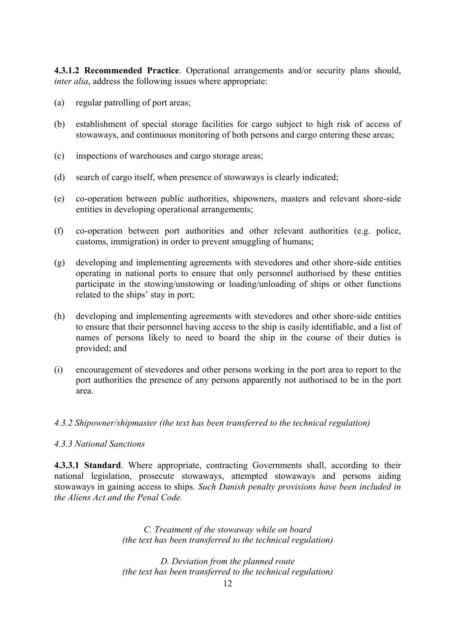**4.3.1.2 Recommended Practice**. Operational arrangements and/or security plans should, *inter alia*, address the following issues where appropriate:

- (a) regular patrolling of port areas;
- (b) establishment of special storage facilities for cargo subject to high risk of access of stowaways, and continuous monitoring of both persons and cargo entering these areas;
- (c) inspections of warehouses and cargo storage areas;
- (d) search of cargo itself, when presence of stowaways is clearly indicated;
- (e) co-operation between public authorities, shipowners, masters and relevant shore-side entities in developing operational arrangements;
- (f) co-operation between port authorities and other relevant authorities (e.g. police, customs, immigration) in order to prevent smuggling of humans;
- (g) developing and implementing agreements with stevedores and other shore-side entities operating in national ports to ensure that only personnel authorised by these entities participate in the stowing/unstowing or loading/unloading of ships or other functions related to the ships' stay in port;
- (h) developing and implementing agreements with stevedores and other shore-side entities to ensure that their personnel having access to the ship is easily identifiable, and a list of names of persons likely to need to board the ship in the course of their duties is provided; and
- (i) encouragement of stevedores and other persons working in the port area to report to the port authorities the presence of any persons apparently not authorised to be in the port area.

# *4.3.2 Shipowner/shipmaster (the text has been transferred to the technical regulation)*

#### *4.3.3 National Sanctions*

**4.3.3.1 Standard**. Where appropriate, contracting Governments shall, according to their national legislation, prosecute stowaways, attempted stowaways and persons aiding stowaways in gaining access to ships. *Such Danish penalty provisions have been included in the Aliens Act and the Penal Code.*

> *C. Treatment of the stowaway while on board (the text has been transferred to the technical regulation)*

> *D. Deviation from the planned route (the text has been transferred to the technical regulation)*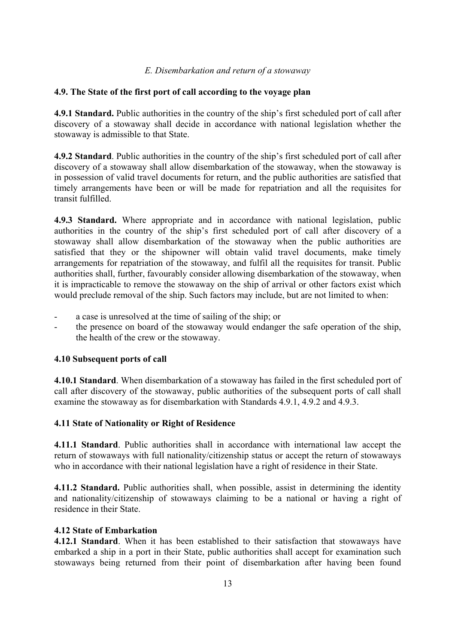# *E. Disembarkation and return of a stowaway*

# **4.9. The State of the first port of call according to the voyage plan**

**4.9.1 Standard.** Public authorities in the country of the ship's first scheduled port of call after discovery of a stowaway shall decide in accordance with national legislation whether the stowaway is admissible to that State.

**4.9.2 Standard**. Public authorities in the country of the ship's first scheduled port of call after discovery of a stowaway shall allow disembarkation of the stowaway, when the stowaway is in possession of valid travel documents for return, and the public authorities are satisfied that timely arrangements have been or will be made for repatriation and all the requisites for transit fulfilled.

**4.9.3 Standard.** Where appropriate and in accordance with national legislation, public authorities in the country of the ship's first scheduled port of call after discovery of a stowaway shall allow disembarkation of the stowaway when the public authorities are satisfied that they or the shipowner will obtain valid travel documents, make timely arrangements for repatriation of the stowaway, and fulfil all the requisites for transit. Public authorities shall, further, favourably consider allowing disembarkation of the stowaway, when it is impracticable to remove the stowaway on the ship of arrival or other factors exist which would preclude removal of the ship. Such factors may include, but are not limited to when:

- a case is unresolved at the time of sailing of the ship; or
- the presence on board of the stowaway would endanger the safe operation of the ship, the health of the crew or the stowaway.

# **4.10 Subsequent ports of call**

**4.10.1 Standard**. When disembarkation of a stowaway has failed in the first scheduled port of call after discovery of the stowaway, public authorities of the subsequent ports of call shall examine the stowaway as for disembarkation with Standards 4.9.1, 4.9.2 and 4.9.3.

# **4.11 State of Nationality or Right of Residence**

**4.11.1 Standard**. Public authorities shall in accordance with international law accept the return of stowaways with full nationality/citizenship status or accept the return of stowaways who in accordance with their national legislation have a right of residence in their State.

**4.11.2 Standard.** Public authorities shall, when possible, assist in determining the identity and nationality/citizenship of stowaways claiming to be a national or having a right of residence in their State.

# **4.12 State of Embarkation**

**4.12.1 Standard**. When it has been established to their satisfaction that stowaways have embarked a ship in a port in their State, public authorities shall accept for examination such stowaways being returned from their point of disembarkation after having been found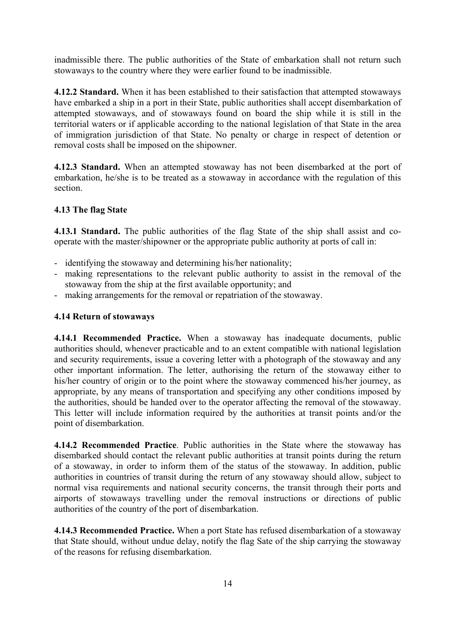inadmissible there. The public authorities of the State of embarkation shall not return such stowaways to the country where they were earlier found to be inadmissible.

**4.12.2 Standard.** When it has been established to their satisfaction that attempted stowaways have embarked a ship in a port in their State, public authorities shall accept disembarkation of attempted stowaways, and of stowaways found on board the ship while it is still in the territorial waters or if applicable according to the national legislation of that State in the area of immigration jurisdiction of that State. No penalty or charge in respect of detention or removal costs shall be imposed on the shipowner.

**4.12.3 Standard.** When an attempted stowaway has not been disembarked at the port of embarkation, he/she is to be treated as a stowaway in accordance with the regulation of this section.

# **4.13 The flag State**

**4.13.1 Standard.** The public authorities of the flag State of the ship shall assist and cooperate with the master/shipowner or the appropriate public authority at ports of call in:

- identifying the stowaway and determining his/her nationality;
- making representations to the relevant public authority to assist in the removal of the stowaway from the ship at the first available opportunity; and
- making arrangements for the removal or repatriation of the stowaway.

# **4.14 Return of stowaways**

**4.14.1 Recommended Practice.** When a stowaway has inadequate documents, public authorities should, whenever practicable and to an extent compatible with national legislation and security requirements, issue a covering letter with a photograph of the stowaway and any other important information. The letter, authorising the return of the stowaway either to his/her country of origin or to the point where the stowaway commenced his/her journey, as appropriate, by any means of transportation and specifying any other conditions imposed by the authorities, should be handed over to the operator affecting the removal of the stowaway. This letter will include information required by the authorities at transit points and/or the point of disembarkation.

**4.14.2 Recommended Practice**. Public authorities in the State where the stowaway has disembarked should contact the relevant public authorities at transit points during the return of a stowaway, in order to inform them of the status of the stowaway. In addition, public authorities in countries of transit during the return of any stowaway should allow, subject to normal visa requirements and national security concerns, the transit through their ports and airports of stowaways travelling under the removal instructions or directions of public authorities of the country of the port of disembarkation.

**4.14.3 Recommended Practice.** When a port State has refused disembarkation of a stowaway that State should, without undue delay, notify the flag Sate of the ship carrying the stowaway of the reasons for refusing disembarkation.